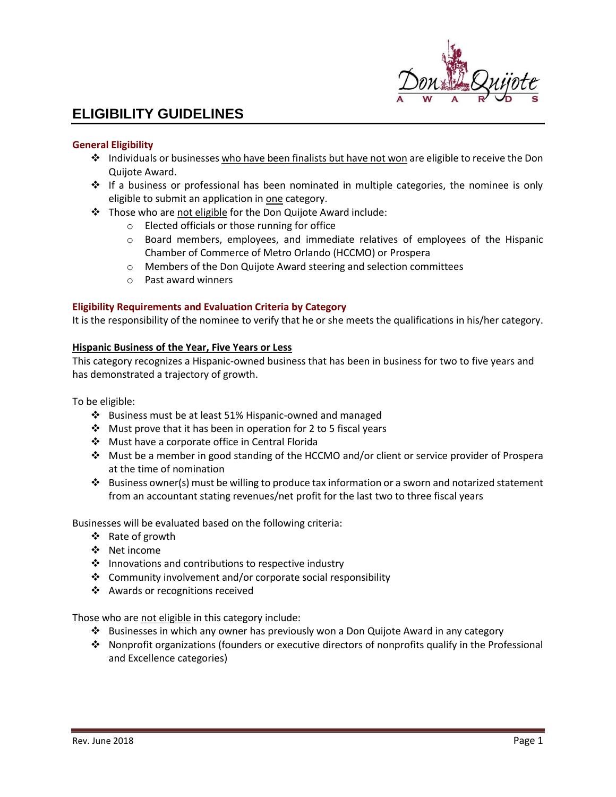

# **ELIGIBILITY GUIDELINES**

## **General Eligibility**

- ❖ Individuals or businesses who have been finalists but have not won are eligible to receive the Don Quijote Award.
- ❖ If a business or professional has been nominated in multiple categories, the nominee is only eligible to submit an application in one category.
- ❖ Those who are not eligible for the Don Quijote Award include:
	- o Elected officials or those running for office
	- $\circ$  Board members, employees, and immediate relatives of employees of the Hispanic Chamber of Commerce of Metro Orlando (HCCMO) or Prospera
	- o Members of the Don Quijote Award steering and selection committees
	- o Past award winners

## **Eligibility Requirements and Evaluation Criteria by Category**

It is the responsibility of the nominee to verify that he or she meets the qualifications in his/her category.

## **Hispanic Business of the Year, Five Years or Less**

This category recognizes a Hispanic-owned business that has been in business for two to five years and has demonstrated a trajectory of growth.

To be eligible:

- ❖ Business must be at least 51% Hispanic-owned and managed
- ◆ Must prove that it has been in operation for 2 to 5 fiscal years
- ❖ Must have a corporate office in Central Florida
- ❖ Must be a member in good standing of the HCCMO and/or client or service provider of Prospera at the time of nomination
- ❖ Business owner(s) must be willing to produce tax information or a sworn and notarized statement from an accountant stating revenues/net profit for the last two to three fiscal years

Businesses will be evaluated based on the following criteria:

- ❖ Rate of growth
- ❖ Net income
- ❖ Innovations and contributions to respective industry
- ❖ Community involvement and/or corporate social responsibility
- ❖ Awards or recognitions received

Those who are not eligible in this category include:

- ❖ Businesses in which any owner has previously won a Don Quijote Award in any category
- ❖ Nonprofit organizations (founders or executive directors of nonprofits qualify in the Professional and Excellence categories)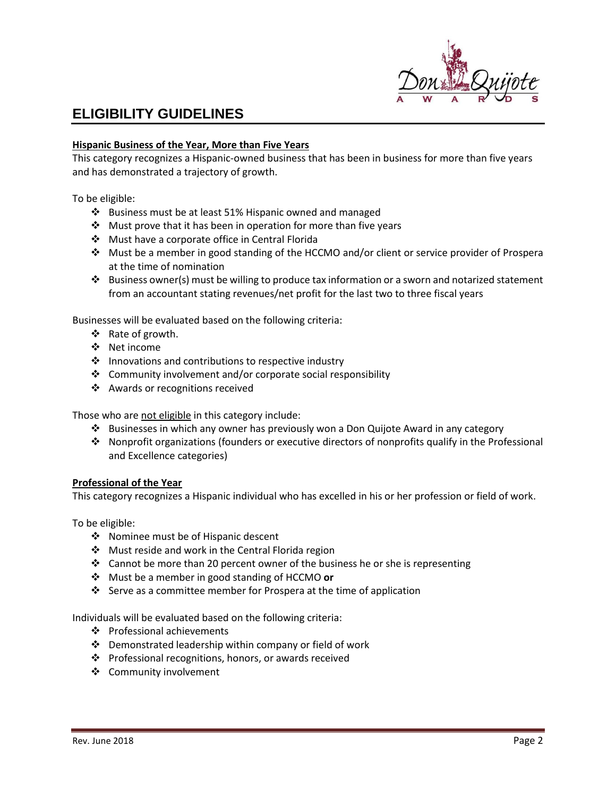

# **ELIGIBILITY GUIDELINES**

### **Hispanic Business of the Year, More than Five Years**

This category recognizes a Hispanic-owned business that has been in business for more than five years and has demonstrated a trajectory of growth.

To be eligible:

- ❖ Business must be at least 51% Hispanic owned and managed
- ❖ Must prove that it has been in operation for more than five years
- ❖ Must have a corporate office in Central Florida
- ❖ Must be a member in good standing of the HCCMO and/or client or service provider of Prospera at the time of nomination
- ❖ Business owner(s) must be willing to produce tax information or a sworn and notarized statement from an accountant stating revenues/net profit for the last two to three fiscal years

Businesses will be evaluated based on the following criteria:

- ❖ Rate of growth.
- ❖ Net income
- ❖ Innovations and contributions to respective industry
- ❖ Community involvement and/or corporate social responsibility
- ❖ Awards or recognitions received

Those who are not eligible in this category include:

- ❖ Businesses in which any owner has previously won a Don Quijote Award in any category
- ❖ Nonprofit organizations (founders or executive directors of nonprofits qualify in the Professional and Excellence categories)

#### **Professional of the Year**

This category recognizes a Hispanic individual who has excelled in his or her profession or field of work.

To be eligible:

- ❖ Nominee must be of Hispanic descent
- ❖ Must reside and work in the Central Florida region
- ❖ Cannot be more than 20 percent owner of the business he or she is representing
- ❖ Must be a member in good standing of HCCMO **or**
- ❖ Serve as a committee member for Prospera at the time of application

Individuals will be evaluated based on the following criteria:

- ❖ Professional achievements
- ❖ Demonstrated leadership within company or field of work
- ❖ Professional recognitions, honors, or awards received
- ❖ Community involvement